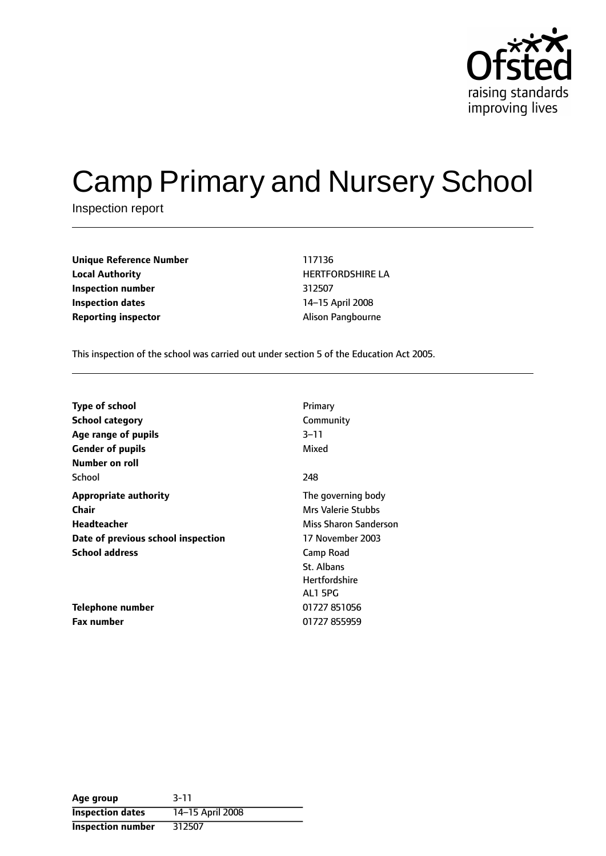

# Camp Primary and Nursery School

Inspection report

| Unique Reference Number    | 117136                 |
|----------------------------|------------------------|
| <b>Local Authority</b>     | <b>HERTFORDSHIRE L</b> |
| Inspection number          | 312507                 |
| Inspection dates           | 14-15 April 2008       |
| <b>Reporting inspector</b> | Alison Pangbourne      |

**Unique Reference Number** 117136 **Local Authority** HERTFORDSHIRE LA **Inspection number** 312507 **14-15 April 2008** 

This inspection of the school was carried out under section 5 of the Education Act 2005.

| <b>Type of school</b>              | Primary                   |
|------------------------------------|---------------------------|
| <b>School category</b>             | Community                 |
| Age range of pupils                | $3 - 11$                  |
| <b>Gender of pupils</b>            | Mixed                     |
| Number on roll                     |                           |
| School                             | 248                       |
| <b>Appropriate authority</b>       | The governing body        |
| <b>Chair</b>                       | <b>Mrs Valerie Stubbs</b> |
| Headteacher                        | Miss Sharon Sanderson     |
| Date of previous school inspection | 17 November 2003          |
| <b>School address</b>              | Camp Road                 |
|                                    | St. Albans                |
|                                    | <b>Hertfordshire</b>      |
|                                    | AL1 5PG                   |
| Telephone number                   | 01727 851056              |
| <b>Fax number</b>                  | 01727 855959              |

| Age group                | $3 - 11$         |
|--------------------------|------------------|
| <b>Inspection dates</b>  | 14-15 April 2008 |
| <b>Inspection number</b> | 312507           |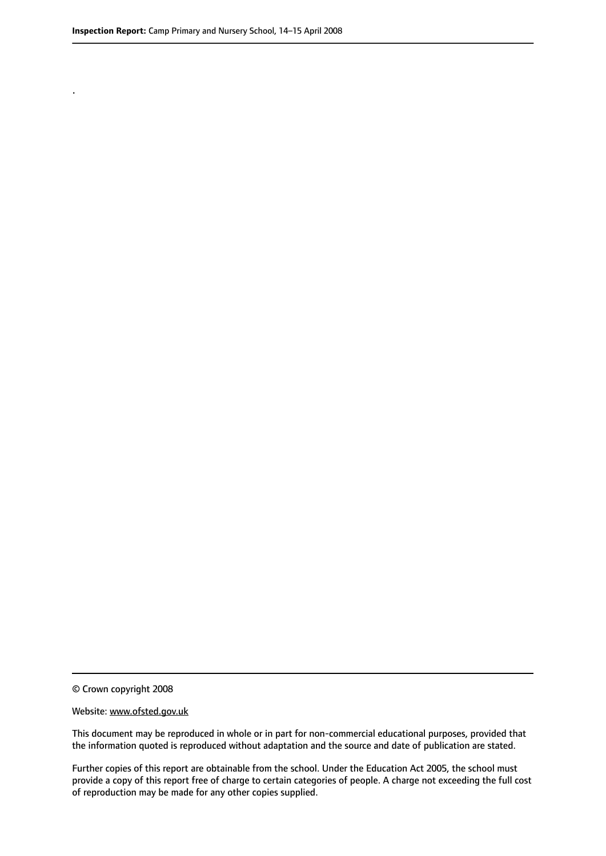.

© Crown copyright 2008

#### Website: www.ofsted.gov.uk

This document may be reproduced in whole or in part for non-commercial educational purposes, provided that the information quoted is reproduced without adaptation and the source and date of publication are stated.

Further copies of this report are obtainable from the school. Under the Education Act 2005, the school must provide a copy of this report free of charge to certain categories of people. A charge not exceeding the full cost of reproduction may be made for any other copies supplied.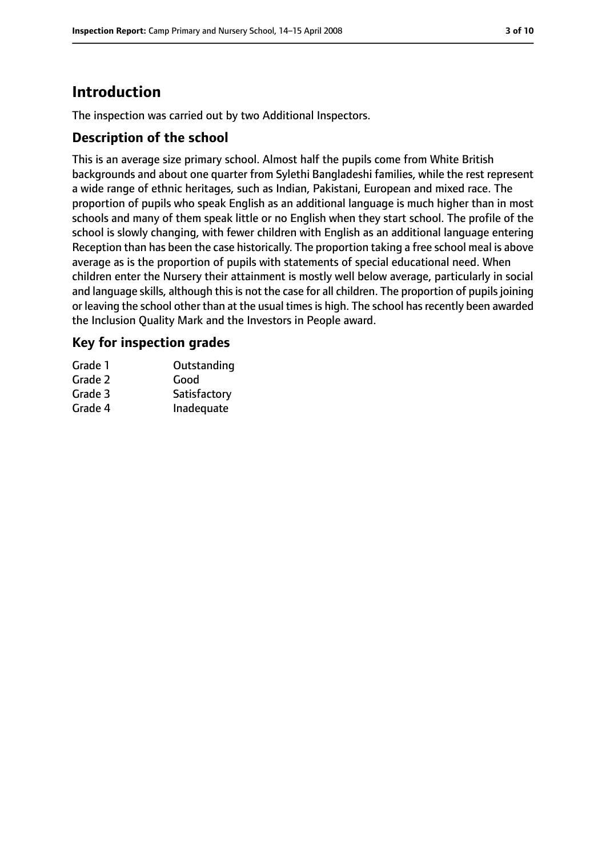# **Introduction**

The inspection was carried out by two Additional Inspectors.

#### **Description of the school**

This is an average size primary school. Almost half the pupils come from White British backgrounds and about one quarter from Sylethi Bangladeshi families, while the rest represent a wide range of ethnic heritages, such as Indian, Pakistani, European and mixed race. The proportion of pupils who speak English as an additional language is much higher than in most schools and many of them speak little or no English when they start school. The profile of the school is slowly changing, with fewer children with English as an additional language entering Reception than has been the case historically. The proportion taking a free school meal is above average as is the proportion of pupils with statements of special educational need. When children enter the Nursery their attainment is mostly well below average, particularly in social and language skills, although this is not the case for all children. The proportion of pupils joining or leaving the school other than at the usual times is high. The school has recently been awarded the Inclusion Quality Mark and the Investors in People award.

#### **Key for inspection grades**

| Grade 1 | Outstanding  |
|---------|--------------|
| Grade 2 | Good         |
| Grade 3 | Satisfactory |
| Grade 4 | Inadequate   |
|         |              |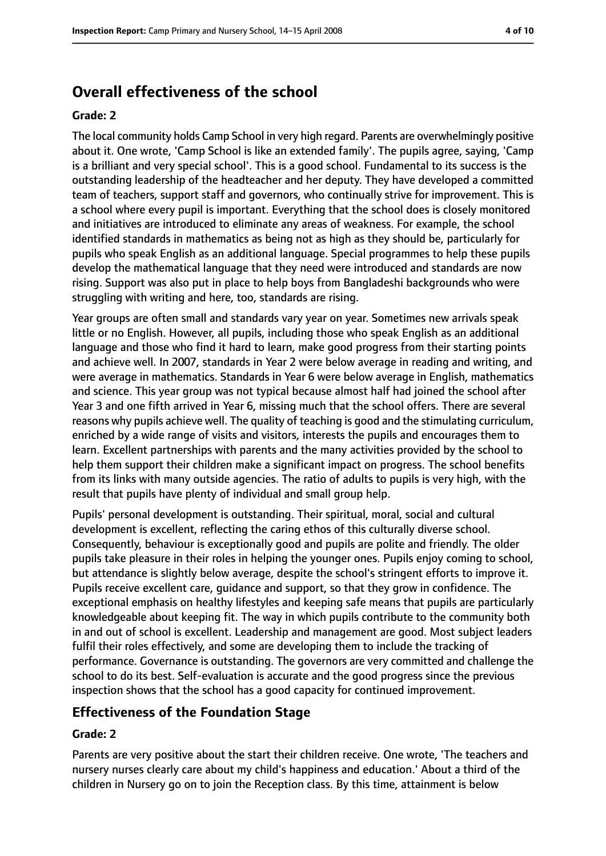## **Overall effectiveness of the school**

#### **Grade: 2**

The local community holds Camp School in very high regard. Parents are overwhelmingly positive about it. One wrote, 'Camp School is like an extended family'. The pupils agree, saying, 'Camp is a brilliant and very special school'. This is a good school. Fundamental to its success is the outstanding leadership of the headteacher and her deputy. They have developed a committed team of teachers, support staff and governors, who continually strive for improvement. This is a school where every pupil is important. Everything that the school does is closely monitored and initiatives are introduced to eliminate any areas of weakness. For example, the school identified standards in mathematics as being not as high as they should be, particularly for pupils who speak English as an additional language. Special programmes to help these pupils develop the mathematical language that they need were introduced and standards are now rising. Support was also put in place to help boys from Bangladeshi backgrounds who were struggling with writing and here, too, standards are rising.

Year groups are often small and standards vary year on year. Sometimes new arrivals speak little or no English. However, all pupils, including those who speak English as an additional language and those who find it hard to learn, make good progress from their starting points and achieve well. In 2007, standards in Year 2 were below average in reading and writing, and were average in mathematics. Standards in Year 6 were below average in English, mathematics and science. This year group was not typical because almost half had joined the school after Year 3 and one fifth arrived in Year 6, missing much that the school offers. There are several reasons why pupils achieve well. The quality of teaching is good and the stimulating curriculum, enriched by a wide range of visits and visitors, interests the pupils and encourages them to learn. Excellent partnerships with parents and the many activities provided by the school to help them support their children make a significant impact on progress. The school benefits from its links with many outside agencies. The ratio of adults to pupils is very high, with the result that pupils have plenty of individual and small group help.

Pupils' personal development is outstanding. Their spiritual, moral, social and cultural development is excellent, reflecting the caring ethos of this culturally diverse school. Consequently, behaviour is exceptionally good and pupils are polite and friendly. The older pupils take pleasure in their roles in helping the younger ones. Pupils enjoy coming to school, but attendance is slightly below average, despite the school's stringent efforts to improve it. Pupils receive excellent care, guidance and support, so that they grow in confidence. The exceptional emphasis on healthy lifestyles and keeping safe means that pupils are particularly knowledgeable about keeping fit. The way in which pupils contribute to the community both in and out of school is excellent. Leadership and management are good. Most subject leaders fulfil their roles effectively, and some are developing them to include the tracking of performance. Governance is outstanding. The governors are very committed and challenge the school to do its best. Self-evaluation is accurate and the good progress since the previous inspection shows that the school has a good capacity for continued improvement.

#### **Effectiveness of the Foundation Stage**

#### **Grade: 2**

Parents are very positive about the start their children receive. One wrote, 'The teachers and nursery nurses clearly care about my child's happiness and education.' About a third of the children in Nursery go on to join the Reception class. By this time, attainment is below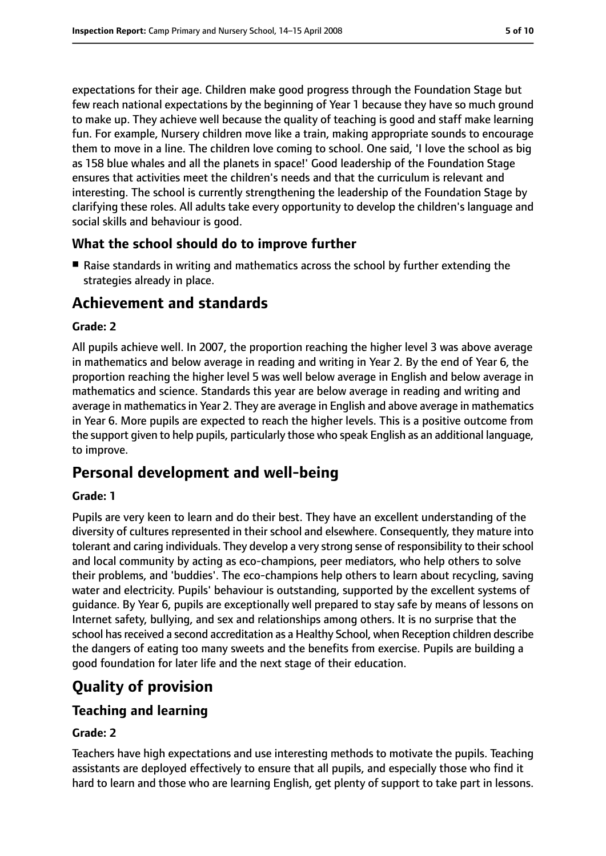expectations for their age. Children make good progress through the Foundation Stage but few reach national expectations by the beginning of Year 1 because they have so much ground to make up. They achieve well because the quality of teaching is good and staff make learning fun. For example, Nursery children move like a train, making appropriate sounds to encourage them to move in a line. The children love coming to school. One said, 'I love the school as big as 158 blue whales and all the planets in space!' Good leadership of the Foundation Stage ensures that activities meet the children's needs and that the curriculum is relevant and interesting. The school is currently strengthening the leadership of the Foundation Stage by clarifying these roles. All adults take every opportunity to develop the children's language and social skills and behaviour is good.

#### **What the school should do to improve further**

■ Raise standards in writing and mathematics across the school by further extending the strategies already in place.

## **Achievement and standards**

#### **Grade: 2**

All pupils achieve well. In 2007, the proportion reaching the higher level 3 was above average in mathematics and below average in reading and writing in Year 2. By the end of Year 6, the proportion reaching the higher level 5 was well below average in English and below average in mathematics and science. Standards this year are below average in reading and writing and average in mathematicsin Year 2. They are average in English and above average in mathematics in Year 6. More pupils are expected to reach the higher levels. This is a positive outcome from the support given to help pupils, particularly those who speak English as an additional language, to improve.

## **Personal development and well-being**

#### **Grade: 1**

Pupils are very keen to learn and do their best. They have an excellent understanding of the diversity of cultures represented in their school and elsewhere. Consequently, they mature into tolerant and caring individuals. They develop a very strong sense of responsibility to their school and local community by acting as eco-champions, peer mediators, who help others to solve their problems, and 'buddies'. The eco-champions help others to learn about recycling, saving water and electricity. Pupils' behaviour is outstanding, supported by the excellent systems of guidance. By Year 6, pupils are exceptionally well prepared to stay safe by means of lessons on Internet safety, bullying, and sex and relationships among others. It is no surprise that the school has received a second accreditation as a Healthy School, when Reception children describe the dangers of eating too many sweets and the benefits from exercise. Pupils are building a good foundation for later life and the next stage of their education.

## **Quality of provision**

## **Teaching and learning**

#### **Grade: 2**

Teachers have high expectations and use interesting methods to motivate the pupils. Teaching assistants are deployed effectively to ensure that all pupils, and especially those who find it hard to learn and those who are learning English, get plenty of support to take part in lessons.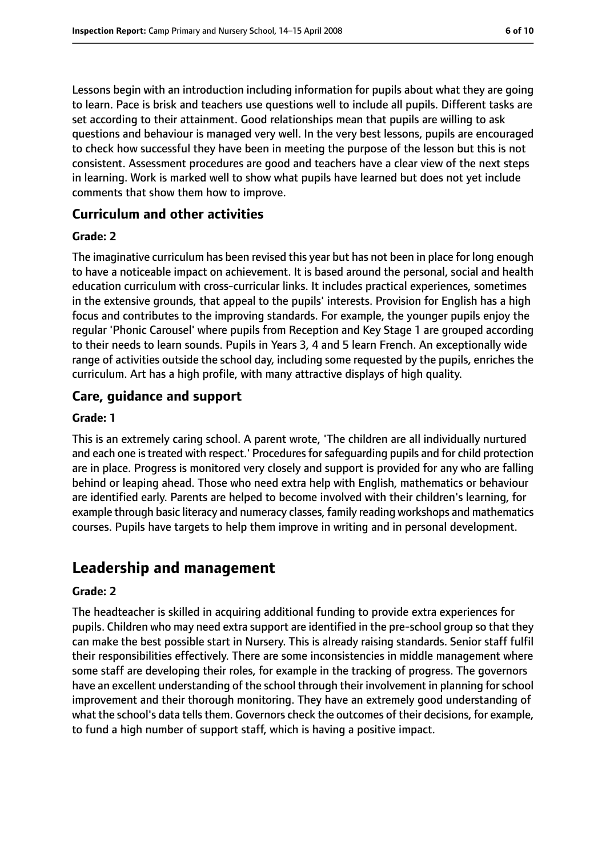Lessons begin with an introduction including information for pupils about what they are going to learn. Pace is brisk and teachers use questions well to include all pupils. Different tasks are set according to their attainment. Good relationships mean that pupils are willing to ask questions and behaviour is managed very well. In the very best lessons, pupils are encouraged to check how successful they have been in meeting the purpose of the lesson but this is not consistent. Assessment procedures are good and teachers have a clear view of the next steps in learning. Work is marked well to show what pupils have learned but does not yet include comments that show them how to improve.

#### **Curriculum and other activities**

#### **Grade: 2**

The imaginative curriculum has been revised this year but has not been in place for long enough to have a noticeable impact on achievement. It is based around the personal, social and health education curriculum with cross-curricular links. It includes practical experiences, sometimes in the extensive grounds, that appeal to the pupils' interests. Provision for English has a high focus and contributes to the improving standards. For example, the younger pupils enjoy the regular 'Phonic Carousel' where pupils from Reception and Key Stage 1 are grouped according to their needs to learn sounds. Pupils in Years 3, 4 and 5 learn French. An exceptionally wide range of activities outside the school day, including some requested by the pupils, enriches the curriculum. Art has a high profile, with many attractive displays of high quality.

#### **Care, guidance and support**

#### **Grade: 1**

This is an extremely caring school. A parent wrote, 'The children are all individually nurtured and each one is treated with respect.' Procedures for safeguarding pupils and for child protection are in place. Progress is monitored very closely and support is provided for any who are falling behind or leaping ahead. Those who need extra help with English, mathematics or behaviour are identified early. Parents are helped to become involved with their children's learning, for example through basic literacy and numeracy classes, family reading workshops and mathematics courses. Pupils have targets to help them improve in writing and in personal development.

## **Leadership and management**

#### **Grade: 2**

The headteacher is skilled in acquiring additional funding to provide extra experiences for pupils. Children who may need extra support are identified in the pre-school group so that they can make the best possible start in Nursery. This is already raising standards. Senior staff fulfil their responsibilities effectively. There are some inconsistencies in middle management where some staff are developing their roles, for example in the tracking of progress. The governors have an excellent understanding of the school through their involvement in planning forschool improvement and their thorough monitoring. They have an extremely good understanding of what the school's data tells them. Governors check the outcomes of their decisions, for example, to fund a high number of support staff, which is having a positive impact.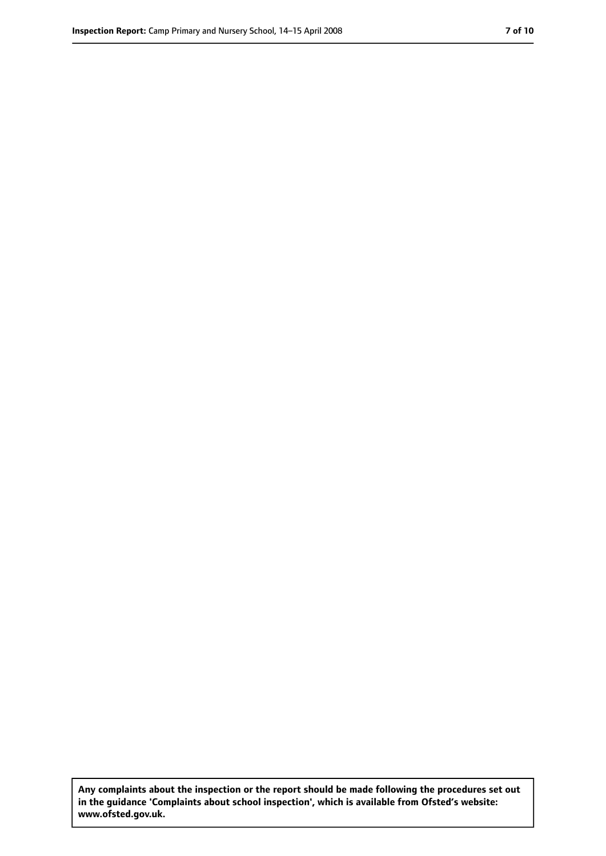**Any complaints about the inspection or the report should be made following the procedures set out in the guidance 'Complaints about school inspection', which is available from Ofsted's website: www.ofsted.gov.uk.**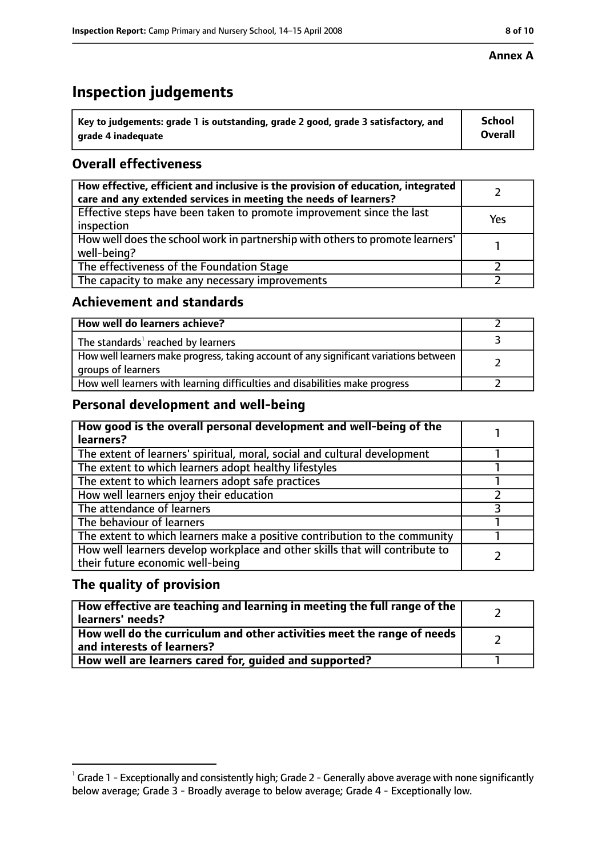# **Inspection judgements**

| $^{\backprime}$ Key to judgements: grade 1 is outstanding, grade 2 good, grade 3 satisfactory, and | <b>School</b>  |
|----------------------------------------------------------------------------------------------------|----------------|
| arade 4 inadeguate                                                                                 | <b>Overall</b> |

## **Overall effectiveness**

| How effective, efficient and inclusive is the provision of education, integrated<br>care and any extended services in meeting the needs of learners? |     |
|------------------------------------------------------------------------------------------------------------------------------------------------------|-----|
| Effective steps have been taken to promote improvement since the last<br>inspection                                                                  | Yes |
| How well does the school work in partnership with others to promote learners'<br>well-being?                                                         |     |
| The effectiveness of the Foundation Stage                                                                                                            |     |
| The capacity to make any necessary improvements                                                                                                      |     |

#### **Achievement and standards**

| How well do learners achieve?                                                                               |  |
|-------------------------------------------------------------------------------------------------------------|--|
| The standards <sup>1</sup> reached by learners                                                              |  |
| How well learners make progress, taking account of any significant variations between<br>groups of learners |  |
| How well learners with learning difficulties and disabilities make progress                                 |  |

## **Personal development and well-being**

| How good is the overall personal development and well-being of the<br>learners?                                  |  |
|------------------------------------------------------------------------------------------------------------------|--|
| The extent of learners' spiritual, moral, social and cultural development                                        |  |
| The extent to which learners adopt healthy lifestyles                                                            |  |
| The extent to which learners adopt safe practices                                                                |  |
| How well learners enjoy their education                                                                          |  |
| The attendance of learners                                                                                       |  |
| The behaviour of learners                                                                                        |  |
| The extent to which learners make a positive contribution to the community                                       |  |
| How well learners develop workplace and other skills that will contribute to<br>their future economic well-being |  |

## **The quality of provision**

| How effective are teaching and learning in meeting the full range of the<br>learners' needs?          |  |
|-------------------------------------------------------------------------------------------------------|--|
| How well do the curriculum and other activities meet the range of needs<br>and interests of learners? |  |
| How well are learners cared for, quided and supported?                                                |  |

 $^1$  Grade 1 - Exceptionally and consistently high; Grade 2 - Generally above average with none significantly below average; Grade 3 - Broadly average to below average; Grade 4 - Exceptionally low.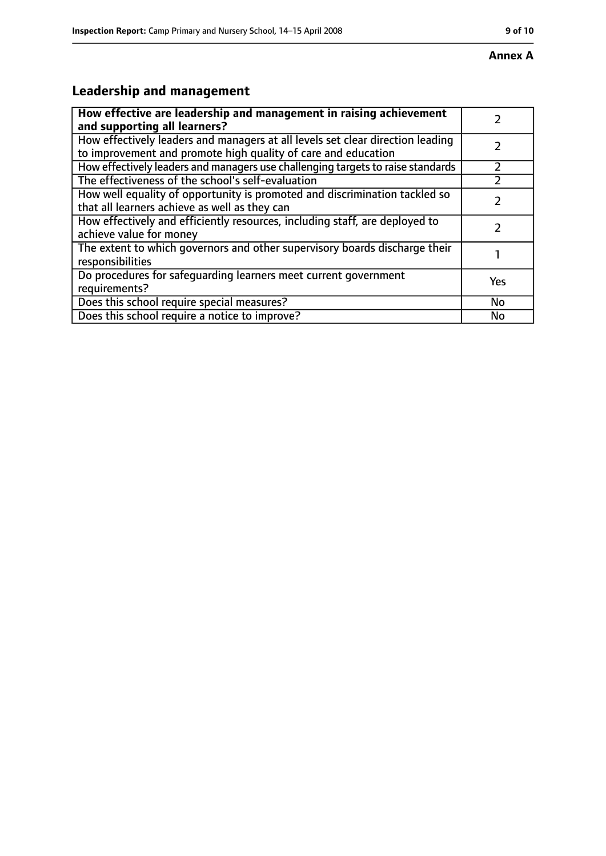# **Leadership and management**

| How effective are leadership and management in raising achievement<br>and supporting all learners?                                              |     |
|-------------------------------------------------------------------------------------------------------------------------------------------------|-----|
| How effectively leaders and managers at all levels set clear direction leading<br>to improvement and promote high quality of care and education |     |
| How effectively leaders and managers use challenging targets to raise standards                                                                 |     |
| The effectiveness of the school's self-evaluation                                                                                               |     |
| How well equality of opportunity is promoted and discrimination tackled so<br>that all learners achieve as well as they can                     |     |
| How effectively and efficiently resources, including staff, are deployed to<br>achieve value for money                                          |     |
| The extent to which governors and other supervisory boards discharge their<br>responsibilities                                                  |     |
| Do procedures for safequarding learners meet current government<br>requirements?                                                                | Yes |
| Does this school require special measures?                                                                                                      | No  |
| Does this school require a notice to improve?                                                                                                   | No  |